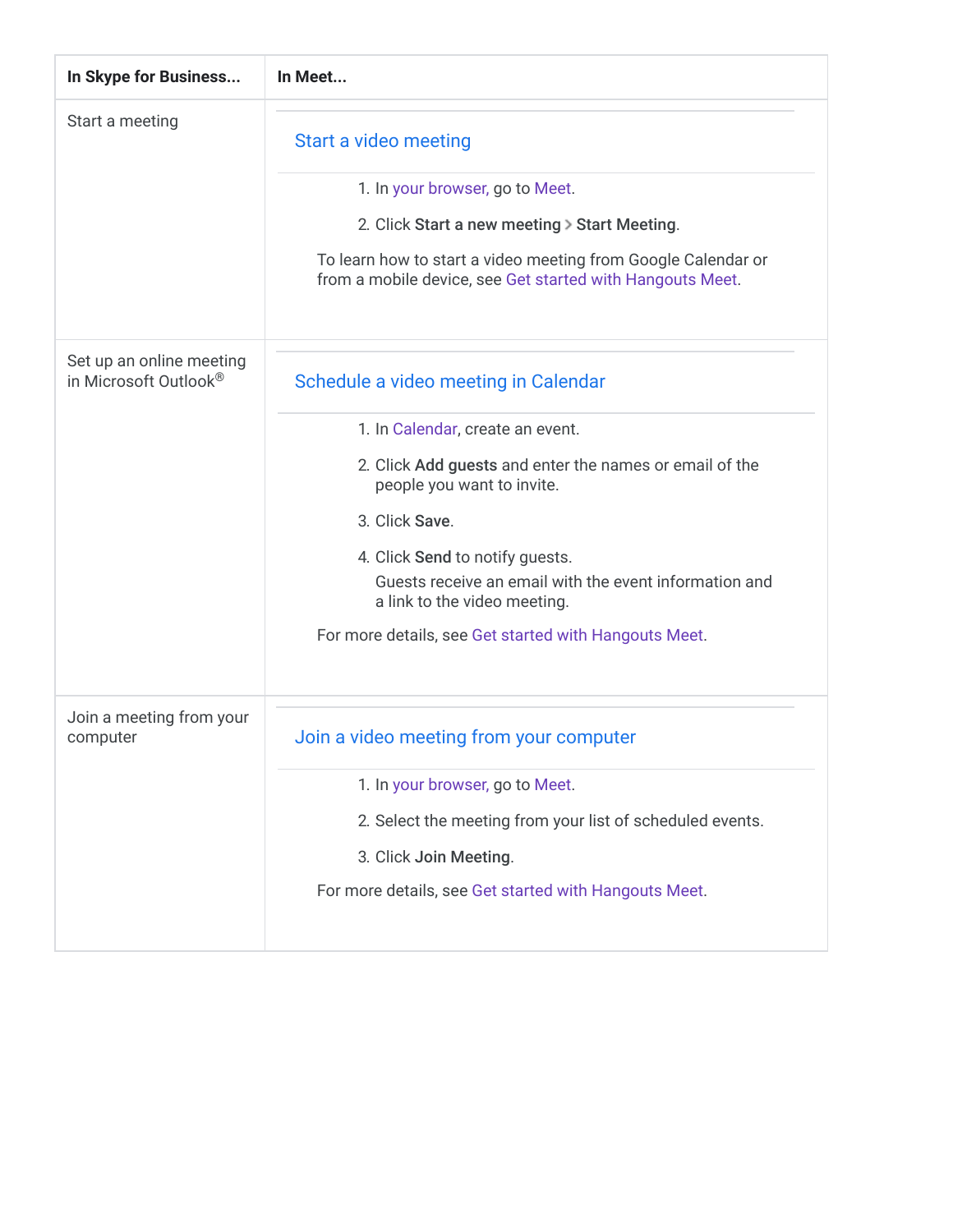| In Skype for Business                             | In Meet                                                                                                                                                                                                                                                                                                                                                                   |
|---------------------------------------------------|---------------------------------------------------------------------------------------------------------------------------------------------------------------------------------------------------------------------------------------------------------------------------------------------------------------------------------------------------------------------------|
| Start a meeting                                   | Start a video meeting<br>1. In your browser, go to Meet.<br>2. Click Start a new meeting > Start Meeting.<br>To learn how to start a video meeting from Google Calendar or<br>from a mobile device, see Get started with Hangouts Meet.                                                                                                                                   |
| Set up an online meeting<br>in Microsoft Outlook® | Schedule a video meeting in Calendar<br>1. In Calendar, create an event.<br>2. Click Add guests and enter the names or email of the<br>people you want to invite.<br>3. Click Save.<br>4. Click Send to notify guests.<br>Guests receive an email with the event information and<br>a link to the video meeting.<br>For more details, see Get started with Hangouts Meet. |
| Join a meeting from your<br>computer              | Join a video meeting from your computer<br>1. In your browser, go to Meet.<br>2. Select the meeting from your list of scheduled events.<br>3. Click Join Meeting.<br>For more details, see Get started with Hangouts Meet.                                                                                                                                                |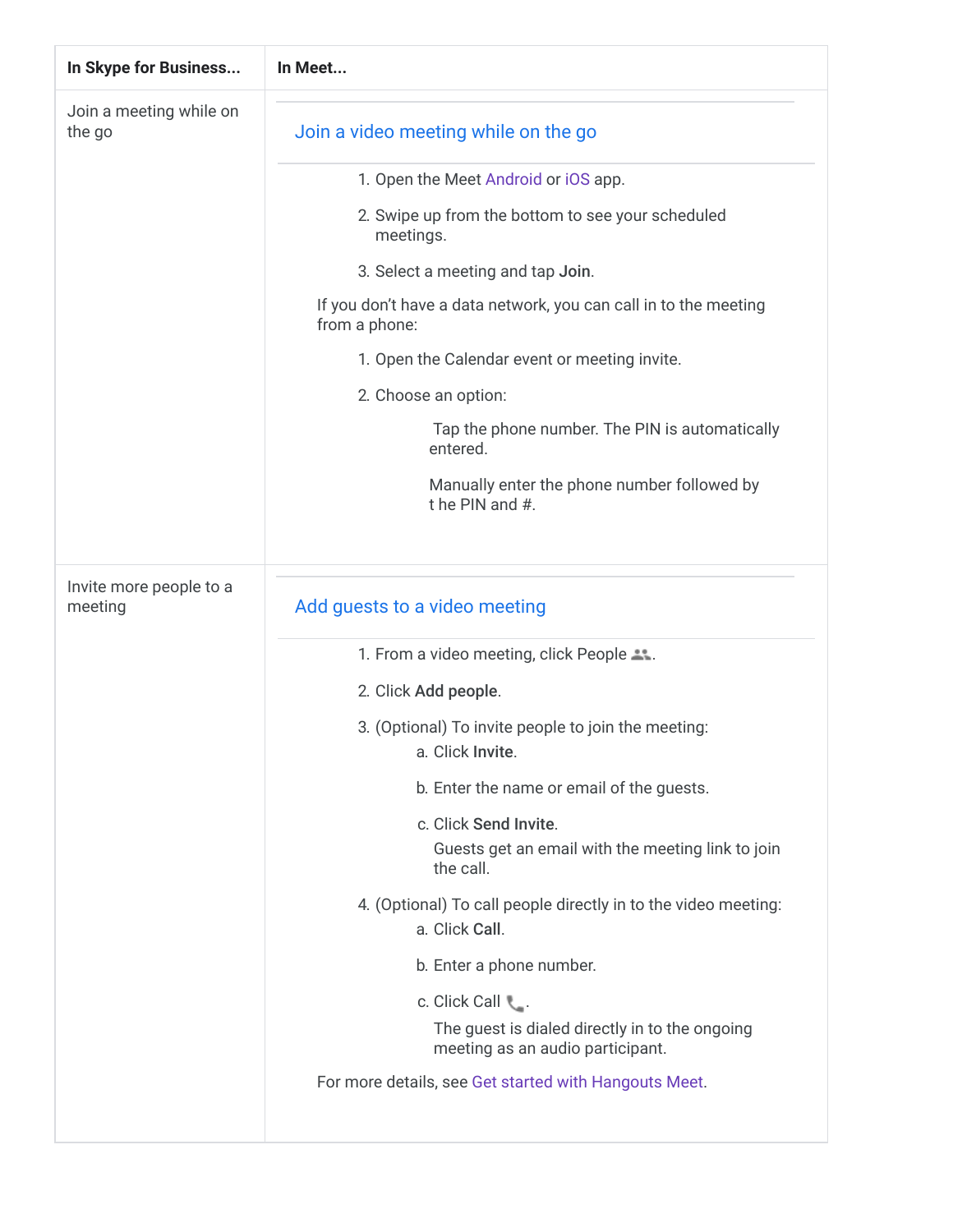| In Skype for Business              | In Meet                                                                                 |
|------------------------------------|-----------------------------------------------------------------------------------------|
| Join a meeting while on<br>the go  | Join a video meeting while on the go                                                    |
|                                    | 1. Open the Meet Android or iOS app.                                                    |
|                                    | 2. Swipe up from the bottom to see your scheduled<br>meetings.                          |
|                                    | 3. Select a meeting and tap Join.                                                       |
|                                    | If you don't have a data network, you can call in to the meeting<br>from a phone:       |
|                                    | 1. Open the Calendar event or meeting invite.                                           |
|                                    | 2. Choose an option:                                                                    |
|                                    | Tap the phone number. The PIN is automatically<br>entered.                              |
|                                    | Manually enter the phone number followed by<br>t he PIN and #.                          |
| Invite more people to a<br>meeting | Add guests to a video meeting                                                           |
|                                    | 1. From a video meeting, click People                                                   |
|                                    | 2. Click Add people.                                                                    |
|                                    | 3. (Optional) To invite people to join the meeting:<br>a. Click Invite.                 |
|                                    | b. Enter the name or email of the guests.                                               |
|                                    | c. Click Send Invite.<br>Guests get an email with the meeting link to join<br>the call. |
|                                    | 4. (Optional) To call people directly in to the video meeting:<br>a. Click Call.        |
|                                    | b. Enter a phone number.                                                                |
|                                    | c. Click Call \,                                                                        |
|                                    | The guest is dialed directly in to the ongoing<br>meeting as an audio participant.      |
|                                    | For more details, see Get started with Hangouts Meet.                                   |
|                                    |                                                                                         |